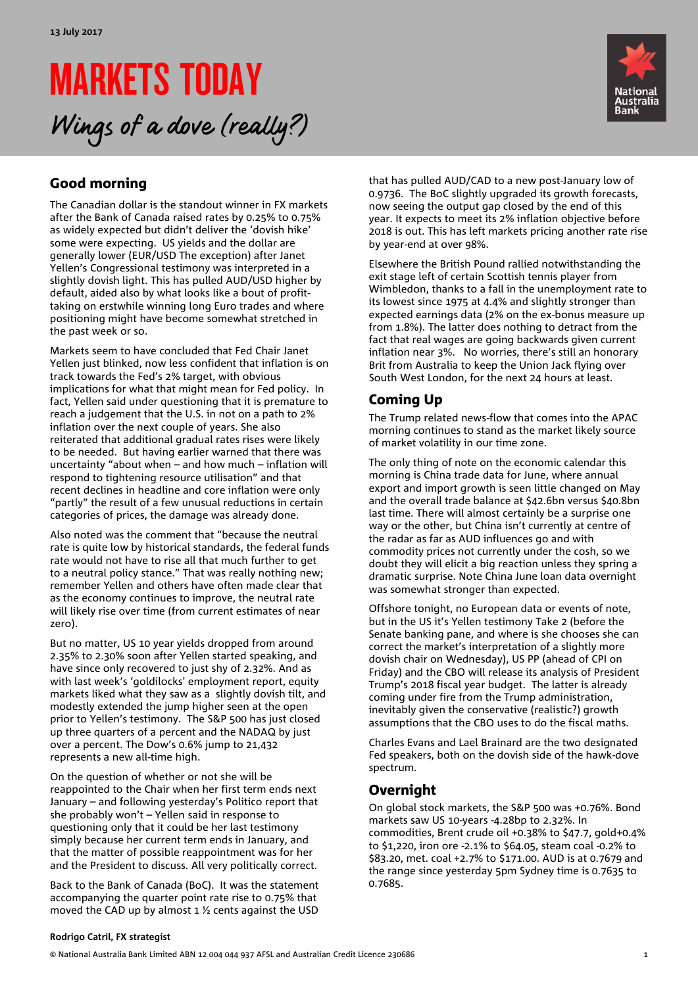# MARKETS TODAY Wings of a dove (really?)



# Good morning

The Canadian dollar is the standout winner in FX markets after the Bank of Canada raised rates by 0.25% to 0.75% as widely expected but didn't deliver the 'dovish hike' some were expecting. US yields and the dollar are generally lower (EUR/USD The exception) after Janet Yellen's Congressional testimony was interpreted in a slightly dovish light. This has pulled AUD/USD higher by default, aided also by what looks like a bout of profittaking on erstwhile winning long Euro trades and where positioning might have become somewhat stretched in the past week or so.

Markets seem to have concluded that Fed Chair Janet Yellen just blinked, now less confident that inflation is on track towards the Fed's 2% target, with obvious implications for what that might mean for Fed policy. In fact, Yellen said under questioning that it is premature to reach a judgement that the U.S. in not on a path to 2% inflation over the next couple of years. She also reiterated that additional gradual rates rises were likely to be needed. But having earlier warned that there was uncertainty "about when – and how much – inflation will respond to tightening resource utilisation" and that recent declines in headline and core inflation were only "partly" the result of a few unusual reductions in certain categories of prices, the damage was already done.

Also noted was the comment that "because the neutral rate is quite low by historical standards, the federal funds rate would not have to rise all that much further to get to a neutral policy stance." That was really nothing new; remember Yellen and others have often made clear that as the economy continues to improve, the neutral rate will likely rise over time (from current estimates of near zero).

But no matter, US 10 year yields dropped from around 2.35% to 2.30% soon after Yellen started speaking, and have since only recovered to just shy of 2.32%. And as with last week's 'goldilocks' employment report, equity markets liked what they saw as a slightly dovish tilt, and modestly extended the jump higher seen at the open prior to Yellen's testimony. The S&P 500 has just closed up three quarters of a percent and the NADAQ by just over a percent. The Dow's 0.6% jump to 21,432 represents a new all-time high.

On the question of whether or not she will be reappointed to the Chair when her first term ends next January – and following yesterday's Politico report that she probably won't – Yellen said in response to questioning only that it could be her last testimony simply because her current term ends in January, and that the matter of possible reappointment was for her and the President to discuss. All very politically correct.

Back to the Bank of Canada (BoC). It was the statement accompanying the quarter point rate rise to 0.75% that moved the CAD up by almost 1 ½ cents against the USD that has pulled AUD/CAD to a new post-January low of 0.9736. The BoC slightly upgraded its growth forecasts, now seeing the output gap closed by the end of this year. It expects to meet its 2% inflation objective before 2018 is out. This has left markets pricing another rate rise by year-end at over 98%.

Elsewhere the British Pound rallied notwithstanding the exit stage left of certain Scottish tennis player from Wimbledon, thanks to a fall in the unemployment rate to its lowest since 1975 at 4.4% and slightly stronger than expected earnings data (2% on the ex-bonus measure up from 1.8%). The latter does nothing to detract from the fact that real wages are going backwards given current inflation near 3%. No worries, there's still an honorary Brit from Australia to keep the Union Jack flying over South West London, for the next 24 hours at least.

# Coming Up

The Trump related news-flow that comes into the APAC morning continues to stand as the market likely source of market volatility in our time zone.

The only thing of note on the economic calendar this morning is China trade data for June, where annual export and import growth is seen little changed on May and the overall trade balance at \$42.6bn versus \$40.8bn last time. There will almost certainly be a surprise one way or the other, but China isn't currently at centre of the radar as far as AUD influences go and with commodity prices not currently under the cosh, so we doubt they will elicit a big reaction unless they spring a dramatic surprise. Note China June loan data overnight was somewhat stronger than expected.

Offshore tonight, no European data or events of note, but in the US it's Yellen testimony Take 2 (before the Senate banking pane, and where is she chooses she can correct the market's interpretation of a slightly more dovish chair on Wednesday), US PP (ahead of CPI on Friday) and the CBO will release its analysis of President Trump's 2018 fiscal year budget. The latter is already coming under fire from the Trump administration, inevitably given the conservative (realistic?) growth assumptions that the CBO uses to do the fiscal maths.

Charles Evans and Lael Brainard are the two designated Fed speakers, both on the dovish side of the hawk-dove spectrum.

# Overnight

On global stock markets, the S&P 500 was +0.76%. Bond markets saw US 10-years -4.28bp to 2.32%. In commodities, Brent crude oil +0.38% to \$47.7, gold+0.4% to \$1,220, iron ore -2.1% to \$64.05, steam coal -0.2% to \$83.20, met. coal +2.7% to \$171.00. AUD is at 0.7679 and the range since yesterday 5pm Sydney time is 0.7635 to 0.7685.

#### **Rodrigo Catril, FX strategist**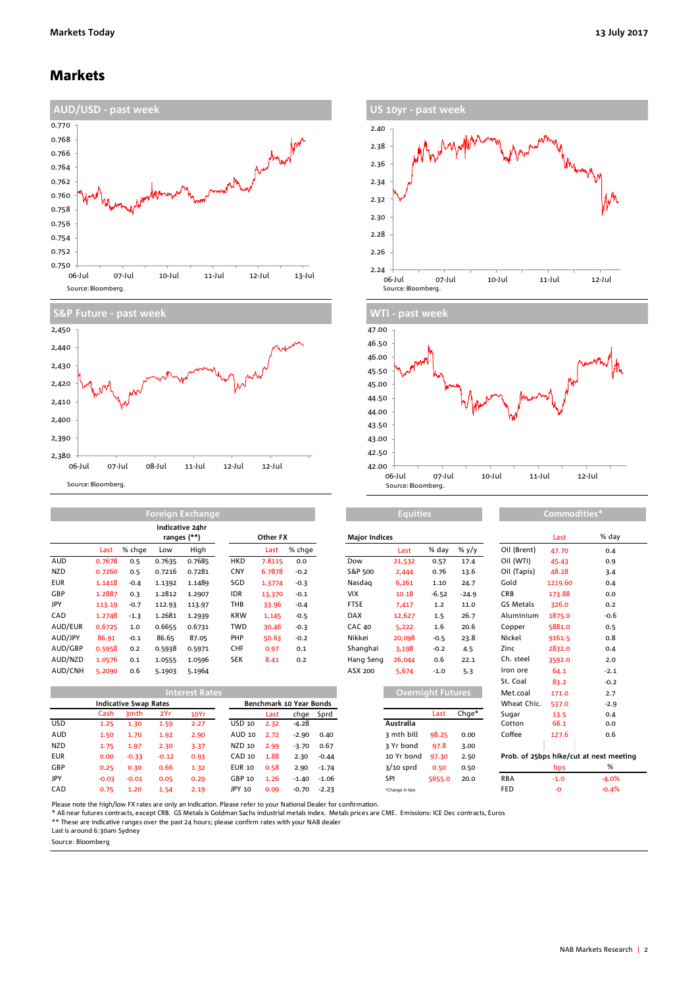### Markets





|            | Foreign Exchange |        |        |                                |            |          |        | <b>Equities</b>      |        |         |          | Commodities* |         |        |
|------------|------------------|--------|--------|--------------------------------|------------|----------|--------|----------------------|--------|---------|----------|--------------|---------|--------|
|            |                  |        |        | Indicative 24hr<br>ranges (**) |            | Other FX |        | <b>Major Indices</b> |        |         |          |              | Last    | % da   |
|            | Last             | % chge | Low    | High                           |            | Last     | % chge |                      | Last   | % day   | $\%$ y/y | Oil (Brent)  | 47.70   | 0.4    |
| <b>AUD</b> | 0.7678           | 0.5    | 0.7635 | 0.7685                         | <b>HKD</b> | 7.8115   | 0.0    | Dow                  | 21,532 | 0.57    | 17.4     | Oil (WTI)    | 45.43   | 0.9    |
| <b>NZD</b> | 0.7260           | 0.5    | 0.7216 | 0.7281                         | <b>CNY</b> | 6.7878   | $-0.2$ | S&P 500              | 2,444  | 0.76    | 13.6     | Oil (Tapis)  | 48.28   | 3.4    |
| <b>EUR</b> | 1.1418           | $-0.4$ | 1.1392 | 1.1489                         | SGD        | 1.3774   | $-0.3$ | Nasdag               | 6,261  | 1.10    | 24.7     | Gold         | 1219.60 | 0.4    |
| GBP        | 1.2887           | 0.3    | 1.2812 | 1.2907                         | IDR        | 13,370   | $-0.1$ | <b>VIX</b>           | 10.18  | $-6.52$ | $-24.9$  | CRB          | 173.88  | 0.0    |
| JPY        | 113.19           | $-0.7$ | 112.93 | 113.97                         | THB        | 33.96    | $-0.4$ | <b>FTSE</b>          | 7,417  | 1.2     | 11.0     | GS Metals    | 326.0   | 0.2    |
| CAD        | 1.2748           | $-1.3$ | 1.2681 | 1.2939                         | <b>KRW</b> | 1,145    | $-0.5$ | <b>DAX</b>           | 12,627 | 1.5     | 26.7     | Aluminium    | 1875.0  | $-0.6$ |
| AUD/EUR    | 0.6725           | 1.0    | 0.6655 | 0.6731                         | TWD        | 30.46    | $-0.3$ | <b>CAC 40</b>        | 5,222  | 1.6     | 20.6     | Copper       | 5881.0  | 0.5    |
| AUD/JPY    | 86.91            | $-0.1$ | 86.65  | 87.05                          | <b>PHP</b> | 50.63    | $-0.2$ | Nikkei               | 20,098 | $-0.5$  | 23.8     | Nickel       | 9161.5  | 0.8    |
| AUD/GBP    | 0.5958           | 0.2    | 0.5938 | 0.5971                         | CHF        | 0.97     | 0.1    | Shanghai             | 3.198  | $-0.2$  | 4.5      | Zinc         | 2832.0  | 0.4    |
| AUD/NZD    | 1.0576           | 0.1    | 1.0555 | 1.0596                         | <b>SEK</b> | 8.41     | 0.2    | Hang Seng            | 26,044 | 0.6     | 22.1     | Ch. steel    | 3592.0  | 2.0    |
| AUD/CNH    | 5.2090           | 0.6    | 5.1903 | 5.1964                         |            |          |        | ASX 200              | 5.674  | $-1.0$  | 5.3      | Iron ore     | 64.1    | $-2.1$ |

| <b>Interest Rates</b> |                              |                  |         |      |                         |      |         |         |                | Overnight Futures |       |             | 171.0  | 2.7                                     |
|-----------------------|------------------------------|------------------|---------|------|-------------------------|------|---------|---------|----------------|-------------------|-------|-------------|--------|-----------------------------------------|
|                       | <b>Indicative Swap Rates</b> |                  |         |      | Benchmark 10 Year Bonds |      |         |         |                |                   |       | Wheat Chic. | 537.0  | $-2.9$                                  |
|                       | Cash                         | 3 <sub>mth</sub> | 2Yr     | 10Yr |                         | Last | chge    | Sprd    |                | Last              | Chge* | Sugar       | 13.5   | 0.4                                     |
| <b>USD</b>            | 1.25                         | 1.30             | 1.59    | 2.27 | USD 10                  | 2.32 | $-4.28$ |         | Australia      |                   |       | Cotton      | 68.1   | 0.0                                     |
| <b>AUD</b>            | 1.50                         | 1.70             | 1.92    | 2.90 | AUD 10                  | 2.72 | $-2.90$ | 0.40    | 3 mth bill     | 98.25             | 0.00  | Coffee      | 127.6  | 0.6                                     |
| <b>NZD</b>            | 1.75                         | 1.97             | 2.30    | 3.37 | NZD 10                  | 2.99 | $-3.70$ | 0.67    | 3 Yr bond      | 97.8              | 3.00  |             |        |                                         |
| <b>EUR</b>            | 0.00                         | $-0.33$          | $-0.12$ | 0.93 | CAD 10                  | 1.88 | 2.30    | $-0.44$ | 10 Yr bond     | 97.30             | 2.50  |             |        | Prob. of 25bps hike/cut at next meeting |
| GBP                   | 0.25                         | 0.30             | 0.66    | 1.32 | <b>EUR 10</b>           | 0.58 | 2.90    | $-1.74$ | $3/10$ sprd    | 0.50              | 0.50  |             | bps    | %                                       |
| JPY                   | $-0.03$                      | $-0.01$          | 0.05    | 0.29 | GBP 10                  | 1.26 | $-1.40$ | $-1.06$ | SPI            | 5655.0            | 20.0  | <b>RBA</b>  | $-1.0$ | $-4.0%$                                 |
| CAD                   | 0.75                         | 1.20             | 1.54    | 2.19 | JPY 10                  | 0.09 | $-0.70$ | $-2.23$ | *Change in bps |                   |       | <b>FED</b>  |        | $-0.4%$                                 |





**Equities Commodities\***

| Other FX |        | <b>Major Indices</b> |        |                          |         |             | Last    | % day  |
|----------|--------|----------------------|--------|--------------------------|---------|-------------|---------|--------|
| Last     | % chge |                      | Last   | % day                    | % y/y   | Oil (Brent) | 47.70   | 0.4    |
| 7.8115   | 0.0    | Dow                  | 21,532 | 0.57                     | 17.4    | Oil (WTI)   | 45.43   | 0.9    |
| 6.7878   | $-0.2$ | S&P 500              | 2,444  | 0.76                     | 13.6    | Oil (Tapis) | 48.28   | 3.4    |
| 1.3774   | $-0.3$ | Nasdag               | 6,261  | 1.10                     | 24.7    | Gold        | 1219.60 | 0.4    |
| 13,370   | $-0.1$ | VIX.                 | 10.18  | $-6.52$                  | $-24.9$ | <b>CRB</b>  | 173.88  | 0.0    |
| 33.96    | $-0.4$ | <b>FTSE</b>          | 7,417  | 1.2                      | 11.0    | GS Metals   | 326.0   | 0.2    |
| 1,145    | $-0.5$ | <b>DAX</b>           | 12,627 | 1.5                      | 26.7    | Aluminium   | 1875.0  | $-0.6$ |
| 30.46    | $-0.3$ | <b>CAC 40</b>        | 5,222  | 1.6                      | 20.6    | Copper      | 5881.0  | 0.5    |
| 50.63    | $-0.2$ | Nikkei               | 20,098 | $-0.5$                   | 23.8    | Nickel      | 9161.5  | 0.8    |
| 0.97     | 0.1    | Shanghai             | 3.198  | $-0.2$                   | 4.5     | Zinc        | 2832.0  | 0.4    |
| 8.41     | 0.2    | Hang Seng            | 26,044 | 0.6                      | 22.1    | Ch. steel   | 3592.0  | 2.0    |
|          |        | ASX 200              | 5,674  | $-1.0$                   | 5.3     | Iron ore    | 64.1    | $-2.1$ |
|          |        |                      |        |                          |         | St. Coal    | 83.2    | $-0.2$ |
|          |        |                      |        | <b>Overnight Futures</b> |         | Met.coal    | 171.0   | 2.7    |
|          |        |                      |        |                          |         |             |         |        |

| Oil (WTI)                               | 45.43   | 0.9    |  |  |  |  |  |  |  |
|-----------------------------------------|---------|--------|--|--|--|--|--|--|--|
| Oil (Tapis)                             | 48.28   | 3.4    |  |  |  |  |  |  |  |
| Gold                                    | 1219.60 | 0.4    |  |  |  |  |  |  |  |
| <b>CRB</b>                              | 173.88  | 0.0    |  |  |  |  |  |  |  |
| GS Metals                               | 326.0   | 0.2    |  |  |  |  |  |  |  |
| Aluminium                               | 1875.0  | $-0.6$ |  |  |  |  |  |  |  |
| Copper                                  | 5881.0  | 0.5    |  |  |  |  |  |  |  |
| Nickel                                  | 9161.5  | 0.8    |  |  |  |  |  |  |  |
| Zinc                                    | 2832.0  | 0.4    |  |  |  |  |  |  |  |
| Ch. steel                               | 3592.0  | 2.0    |  |  |  |  |  |  |  |
| Iron ore                                | 64.1    | $-2.1$ |  |  |  |  |  |  |  |
| St. Coal                                | 83.2    | $-0.2$ |  |  |  |  |  |  |  |
| Met.coal                                | 171.0   | 2.7    |  |  |  |  |  |  |  |
| Wheat Chic.                             | 537.0   | $-2.9$ |  |  |  |  |  |  |  |
| Sugar                                   | 13.5    | 0.4    |  |  |  |  |  |  |  |
| Cotton                                  | 68.1    | 0.0    |  |  |  |  |  |  |  |
| Coffee                                  | 127.6   | 0.6    |  |  |  |  |  |  |  |
|                                         |         |        |  |  |  |  |  |  |  |
| Prob. of 25bps hike/cut at next meeting |         |        |  |  |  |  |  |  |  |
|                                         |         | $\sim$ |  |  |  |  |  |  |  |

Please note the high/low FX rates are only an indication. Please refer to your National Dealer for confirmation.<br>\* All near futures contracts, except CRB. GS Metals is Goldman Sachs industrial metals micals prices are CME.

Last is around 6:30am Sydney

Source: Bloomberg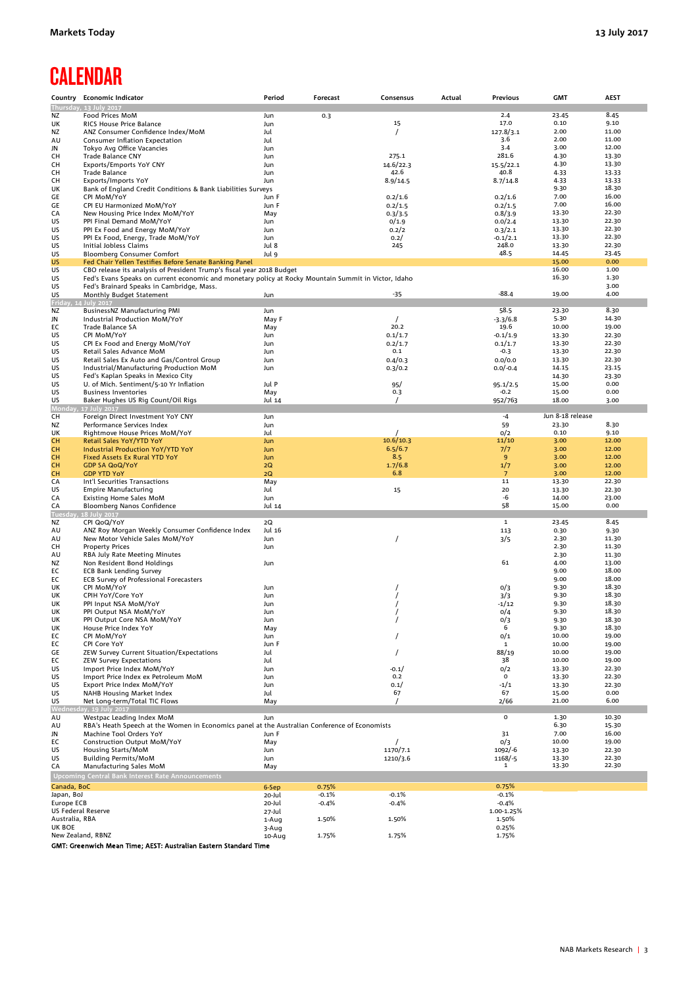# **CALENDAR**

|                     | Country Economic Indicator                                                                           | Period     | Forecast | Consensus | Actual | Previous        | <b>GMT</b>       | <b>AEST</b>    |
|---------------------|------------------------------------------------------------------------------------------------------|------------|----------|-----------|--------|-----------------|------------------|----------------|
|                     | Thursday, 13 July 2017                                                                               |            |          |           |        |                 |                  |                |
| NZ                  | Food Prices MoM                                                                                      | Jun        | 0.3      |           |        | 2.4             | 23.45            | 8.45           |
| UK                  | <b>RICS House Price Balance</b>                                                                      | Jun        |          | 15        |        | 17.0            | 0.10             | 9.10           |
| NZ                  | ANZ Consumer Confidence Index/MoM                                                                    | Jul        |          |           |        | 127.8/3.1       | 2.00<br>2.00     | 11.00          |
| AU                  | Consumer Inflation Expectation                                                                       | Jul        |          |           |        | 3.6<br>3.4      | 3.00             | 11.00<br>12.00 |
| JN<br>CH            | Tokyo Avg Office Vacancies<br>Trade Balance CNY                                                      | Jun<br>Jun |          | 275.1     |        | 281.6           | 4.30             | 13.30          |
| CН                  | Exports/Emports YoY CNY                                                                              | Jun        |          | 14.6/22.3 |        | 15.5/22.1       | 4.30             | 13.30          |
| CH                  | Trade Balance                                                                                        | Jun        |          | 42.6      |        | 40.8            | 4.33             | 13.33          |
| CH                  | Exports/Imports YoY                                                                                  | Jun        |          | 8.9/14.5  |        | 8.7/14.8        | 4.33             | 13.33          |
| UK                  | Bank of England Credit Conditions & Bank Liabilities Surveys                                         |            |          |           |        |                 | 9.30             | 18.30          |
| GE                  | CPI MoM/YoY                                                                                          | Jun F      |          | 0.2/1.6   |        | 0.2/1.6         | 7.00             | 16.00          |
| GE                  | CPI EU Harmonized MoM/YoY                                                                            | Jun F      |          | 0.2/1.5   |        | 0.2/1.5         | 7.00             | 16.00          |
| CA                  | New Housing Price Index MoM/YoY                                                                      | May        |          | 0.3/3.5   |        | 0.8/3.9         | 13.30            | 22.30          |
| US                  | PPI Final Demand MoM/YoY                                                                             | Jun        |          | 0/1.9     |        | 0.0/2.4         | 13.30            | 22.30          |
| US                  | PPI Ex Food and Energy MoM/YoY                                                                       | Jun        |          | 0.2/2     |        | 0.3/2.1         | 13.30            | 22.30          |
| US                  | PPI Ex Food, Energy, Trade MoM/YoY                                                                   | Jun        |          | 0.2/      |        | $-0.1/2.1$      | 13.30            | 22.30          |
| US                  | Initial Jobless Claims                                                                               | Jul 8      |          | 245       |        | 248.0           | 13.30            | 22.30          |
| US                  | <b>Bloomberg Consumer Comfort</b>                                                                    | Jul 9      |          |           |        | 48.5            | 14.45            | 23.45          |
| US                  | Fed Chair Yellen Testifies Before Senate Banking Panel                                               |            |          |           |        |                 | 15.00            | 0.00           |
| US                  | CBO release its analysis of President Trump's fiscal year 2018 Budget                                |            |          |           |        |                 | 16.00            | 1.00           |
| US<br>US            | Fed's Evans Speaks on current economic and monetary policy at Rocky Mountain Summit in Victor, Idaho |            |          |           |        |                 | 16.30            | 1.30<br>3.00   |
| US                  | Fed's Brainard Speaks in Cambridge, Mass.<br>Monthly Budget Statement                                | Jun        |          | -35       |        | $-88.4$         | 19.00            | 4.00           |
| Friday,             | 4 July 2017                                                                                          |            |          |           |        |                 |                  |                |
| NZ                  | BusinessNZ Manufacturing PMI                                                                         | Jun        |          |           |        | 58.5            | 23.30            | 8.30           |
| JN                  | Industrial Production MoM/YoY                                                                        | May F      |          |           |        | $-3.3/6.8$      | 5.30             | 14.30          |
| EC                  | Trade Balance SA                                                                                     | May        |          | 20.2      |        | 19.6            | 10.00            | 19.00          |
| US                  | CPI MoM/YoY                                                                                          | Jun        |          | 0.1/1.7   |        | $-0.1/1.9$      | 13.30            | 22.30          |
| US                  | CPI Ex Food and Energy MoM/YoY                                                                       | Jun        |          | 0.2/1.7   |        | 0.1/1.7         | 13.30            | 22.30          |
| US                  | Retail Sales Advance MoM                                                                             | Jun        |          | 0.1       |        | $-0.3$          | 13.30            | 22.30          |
| US                  | Retail Sales Ex Auto and Gas/Control Group                                                           | Jun        |          | 0.4/0.3   |        | 0.0/0.0         | 13.30            | 22.30          |
| US                  | Industrial/Manufacturing Production MoM                                                              | Jun        |          | 0.3/0.2   |        | $0.0/-0.4$      | 14.15            | 23.15          |
| US                  | Fed's Kaplan Speaks in Mexico City                                                                   |            |          |           |        |                 | 14.30            | 23.30          |
| US                  | U. of Mich. Sentiment/5-10 Yr Inflation                                                              | Jul P      |          | 95/       |        | 95.1/2.5        | 15.00            | 0.00           |
| US                  | <b>Business Inventories</b>                                                                          | May        |          | 0.3       |        | $-0.2$          | 15.00            | 0.00           |
| US                  | Baker Hughes US Rig Count/Oil Rigs                                                                   | Jul 14     |          | $\prime$  |        | 952/763         | 18.00            | 3.00           |
| Monday<br>CH        | 17 July 2017<br>Foreign Direct Investment YoY CNY                                                    |            |          |           |        |                 | Jun 8-18 release |                |
| ΝZ                  | Performance Services Index                                                                           | Jun<br>Jun |          |           |        | -4<br>59        | 23.30            | 8.30           |
| UK                  | Rightmove House Prices MoM/YoY                                                                       | Jul        |          |           |        | 0/2             | 0.10             | 9.10           |
| CH                  | Retail Sales YoY/YTD YoY                                                                             | Jun        |          | 10.6/10.3 |        | 11/10           | 3.00             | 12.00          |
| <b>CH</b>           | <b>Industrial Production YoY/YTD YoY</b>                                                             | Jun        |          | 6.5/6.7   |        | 7/7             | 3.00             | 12.00          |
| CH                  | Fixed Assets Ex Rural YTD YoY                                                                        | Jun        |          | 8.5       |        | 9               | 3.00             | 12.00          |
| CH                  | <b>GDP SA QoQ/YoY</b>                                                                                | 2Q         |          | 1.7/6.8   |        | 1/7             | 3.00             | 12.00          |
| CH                  | <b>GDP YTD YoY</b>                                                                                   | 2Q         |          | 6.8       |        | $7\overline{ }$ | 3.00             | 12.00          |
| CA                  | Int'l Securities Transactions                                                                        | May        |          |           |        | 11              | 13.30            | 22.30          |
| US                  | <b>Empire Manufacturing</b>                                                                          | Jul        |          | 15        |        | 20              | 13.30            | 22.30          |
| CA                  | <b>Existing Home Sales MoM</b>                                                                       | Jun        |          |           |        | -6              | 14.00            | 23.00          |
| CA                  | Bloomberg Nanos Confidence                                                                           | Jul 14     |          |           |        | 58              | 15.00            | 0.00           |
| Tuesday<br>NZ       | 18 July 2017<br>CPI QoQ/YoY                                                                          | 2Q         |          |           |        | $\mathbf{1}$    | 23.45            | 8.45           |
| AU                  | ANZ Roy Morgan Weekly Consumer Confidence Index                                                      | Jul 16     |          |           |        | 113             | 0.30             | 9.30           |
| AU                  | New Motor Vehicle Sales MoM/YoY                                                                      | Jun        |          | $\prime$  |        | 3/5             | 2.30             | 11.30          |
| CН                  | <b>Property Prices</b>                                                                               | Jun        |          |           |        |                 | 2.30             | 11.30          |
| AU                  | RBA July Rate Meeting Minutes                                                                        |            |          |           |        |                 | 2.30             | 11.30          |
| <b>NZ</b>           | Non Resident Bond Holdings                                                                           | Jun        |          |           |        | 61              | 4.00             | 13.00          |
| EC                  | <b>ECB Bank Lending Survey</b>                                                                       |            |          |           |        |                 | 9.00             | 18.00          |
| EC                  | ECB Survey of Professional Forecasters                                                               |            |          |           |        |                 | 9.00             | 18.00          |
| UK                  | CPI MoM/YoY                                                                                          | Jun        |          |           |        | 0/3             | 9.30             | 18.30          |
| UK                  | CPIH YoY/Core YoY                                                                                    | Jun        |          |           |        | 3/3             | 9.30             | 18.30          |
| UK                  | PPI Input NSA MoM/YoY                                                                                | Jun        |          |           |        | $-1/12$         | 9.30             | 18.30          |
| UK                  | PPI Output NSA MoM/YoY                                                                               | Jun        |          |           |        | 0/4             | 9.30             | 18.30          |
| UK<br>UK            | PPI Output Core NSA MoM/YoY<br>House Price Index YoY                                                 | Jun<br>May |          |           |        | 0/3<br>6        | 9.30<br>9.30     | 18.30<br>18.30 |
| EC                  | CPI MoM/YoY                                                                                          | Jun        |          |           |        | 0/1             | 10.00            | 19.00          |
| ЕC                  | CPI Core YoY                                                                                         | Jun F      |          |           |        | 1               | 10.00            | 19.00          |
| GE                  | ZEW Survey Current Situation/Expectations                                                            | Jul        |          | $\prime$  |        | 88/19           | 10.00            | 19.00          |
| ЕC                  | <b>ZEW Survey Expectations</b>                                                                       | Jul        |          |           |        | 38              | 10.00            | 19.00          |
| US                  | Import Price Index MoM/YoY                                                                           | Jun        |          | $-0.1/$   |        | 0/2             | 13.30            | 22.30          |
| US                  | Import Price Index ex Petroleum MoM                                                                  | Jun        |          | 0.2       |        | 0               | 13.30            | 22.30          |
| US                  | Export Price Index MoM/YoY                                                                           | Jun        |          | 0.1/      |        | $-1/1$          | 13.30            | 22.30          |
| US                  | NAHB Housing Market Index                                                                            | Jul        |          | 67        |        | 67              | 15.00            | 0.00           |
| US                  | Net Long-term/Total TIC Flows                                                                        | May        |          |           |        | 2/66            | 21.00            | 6.00           |
| <b>Wednes</b><br>AU | lay, 19 July 2017<br>Westpac Leading Index MoM                                                       | Jun        |          |           |        | 0               | 1.30             | 10.30          |
| AU                  | RBA's Heath Speech at the Women in Economics panel at the Australian Conference of Economists        |            |          |           |        |                 | 6.30             | 15.30          |
| JN                  | Machine Tool Orders YoY                                                                              | Jun F      |          |           |        | 31              | 7.00             | 16.00          |
| ЕC                  | <b>Construction Output MoM/YoY</b>                                                                   | May        |          |           |        | 0/3             | 10.00            | 19.00          |
| US                  | Housing Starts/MoM                                                                                   | Jun        |          | 1170/7.1  |        | 1092/-6         | 13.30            | 22.30          |
| US                  | <b>Building Permits/MoM</b>                                                                          | Jun        |          | 1210/3.6  |        | 1168/-5         | 13.30            | 22.30          |
| CA                  | Manufacturing Sales MoM                                                                              | May        |          |           |        | 1               | 13.30            | 22.30          |
|                     | Upcoming Central Bank Interest Rate Announcements                                                    |            |          |           |        |                 |                  |                |
| Canada, BoC         |                                                                                                      | 6-Sep      | 0.75%    |           |        | 0.75%           |                  |                |
| Japan, BoJ          |                                                                                                      | 20-Jul     | $-0.1%$  | $-0.1%$   |        | $-0.1%$         |                  |                |
| Europe ECB          |                                                                                                      | 20-Jul     | $-0.4%$  | $-0.4%$   |        | $-0.4%$         |                  |                |
| US Federal Reserve  |                                                                                                      | 27-Jul     |          |           |        | 1.00-1.25%      |                  |                |
| Australia, RBA      |                                                                                                      | 1-Aug      | 1.50%    | 1.50%     |        | 1.50%           |                  |                |
| UK BOE              |                                                                                                      | 3-Aug      |          |           |        | 0.25%           |                  |                |
| New Zealand, RBNZ   |                                                                                                      | 10-Aug     | 1.75%    | 1.75%     |        | 1.75%           |                  |                |

GMT: Greenwich Mean Time; AEST: Australian Eastern Standard Time